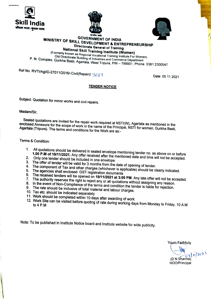





# MINISTRY OF SKILL DEVERNMENT OF INDIA<br>Directorate General of Training<br>National Skill Training Institute (Women)

National Skill Training<br>National Skill Training Institute (Women)<br>Old Directorate Building of Industries and Commerce Departy<br>Surkhe Boate Building of Industries and Commerce Departy Regional Old Directorate Building of Industries and Commerce Department P. N. Complex, Gurkha Basti, Agartala, West Tripura, PIN - 799001, Phone: 0381 2300047

Ref No. RVTI/Agt/D-27011/2016/-Civil(Repair)/  $\beta$ 269 Date: 05.11.2021

### TENDER NoTICE

Subject: Quotation for minor works and civil repairs.

Madam/Sir,

Sealed quotations are invited for the repair work required at NSTI(W), Agartala as mentioned in the Agartala (Tripura). The terms and scope of work in the name of the Principal, NSTI for women, Gurkha Basti, ns and conditions for the Work are as:-

Terms&Condition:

- 1. All quotations should be delivered in sealed envelope mentioning tender no. as above on or before<br>1.00 P.M of 19/11/2021. Any offer received after the mentioned date and time will not be accepted.<br>2. Only one tender sho
- 
- 
- 3. The offer of tender will be valid for 3 months from the date of opening of tender.
- 
- 
- 6. The received tenders will be opened on 19/11/2021 at 3:00 PM. Any late offer will not be accepted.<br>7. The authority reserves the right to reject any or all quotations without assigning any reason.<br>8. In the event of Non 7. The authority reserves the right to reject any or all quotations without assigning any reason.
- 
- 
- 
- 
- 
- 10. Tax etc. should be indicated separately<br>11. Work should be completed within 10 days after awarding of work<br>12. Work Site can be visited before quoting of rate during working days from Monday to Friday, 10 A.M

Note: To be published in Institute Notice board and Institute website for wide publicity

Yours Faithfully  $\pi$ /2021 (DN Sharma) HOO/Principal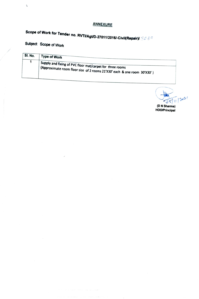## **ANNEXURE**

# Scope of Work for Tender no. RVTI/Agt/D-27011/2016/-Civil(Repair)/ 3.2 8.9<br>Subject: Scope of Work

 $\tilde{\Delta}$ 

| SI. No. | Type of Work                                                                                                                                 |  |
|---------|----------------------------------------------------------------------------------------------------------------------------------------------|--|
|         | Supply and fixing of PVC floor mat/carpet for three rooms<br>$\mid$ (Approximate room floor size of 2 rooms 21'X30' each & one room 30'X30') |  |

 $\frac{1}{\sqrt{35}}$ (DN Shama) HOOPrincipal